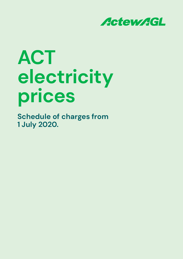

# **ACT electricity prices**

**Schedule of charges from 1 July 2020.**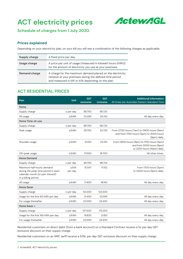# **ACT electricity prices**



**Schedule of charges from 1 July 2020.**

#### **Prices explained**

Depending on your electricity plan, on your bill you will see a combination of the following charges as applicable.

| Supply charge                                                                                                                           | A fixed price per day.                                                                                                                                                   |
|-----------------------------------------------------------------------------------------------------------------------------------------|--------------------------------------------------------------------------------------------------------------------------------------------------------------------------|
| A price per unit of usage (measured in kilowatt hours (kWh))<br>Usage charge<br>for the amount of electricity you use at your premises. |                                                                                                                                                                          |
| Demand charge                                                                                                                           | A charge for the maximum demand placed on the electricity<br>network at your premises during the defined time period<br>and measured in kW or kVA depending on the plan. |

### **ACT RESIDENTIAL PRICES**

| Plan                                                                                                                          | Unit            | <b>GST</b><br>exclusive | <b>GST</b><br>inclusive | <b>Additional information</b><br>All times are Australian Eastern Standard Time                       |
|-------------------------------------------------------------------------------------------------------------------------------|-----------------|-------------------------|-------------------------|-------------------------------------------------------------------------------------------------------|
| Home                                                                                                                          |                 |                         |                         |                                                                                                       |
| Supply charge                                                                                                                 | ¢ per day       | 89.750                  | 98.725                  |                                                                                                       |
| All usage                                                                                                                     | c/kWh           | 22.493                  | 24.742                  | All day every day.                                                                                    |
| Home Time-of-use                                                                                                              |                 |                         |                         |                                                                                                       |
| Supply charge                                                                                                                 | ¢ per day       | 89.750                  | 98.725                  |                                                                                                       |
| Peak usage                                                                                                                    | ¢/kWh           | 29.750                  | 32.725                  | From 0700 hours (7am) to 0900 hours (9am)<br>and from 1700 hours (5pm) to 2000 hours<br>(8pm) daily.  |
| Shoulder usage                                                                                                                | ¢/kWh           | 21.100                  | 23.210                  | From 0900 hours (9am) to 1700 hours (5pm)<br>and from 2000 hours (8pm)<br>to 2200 hours (10pm) daily. |
| Off-peak usage                                                                                                                | ¢/kWh           | 17.000                  | 18.700                  | All other times.                                                                                      |
| <b>Home Demand</b>                                                                                                            |                 |                         |                         |                                                                                                       |
| Supply charge                                                                                                                 | ¢ per day       | 89.750                  | 98.725                  |                                                                                                       |
| Maximum half hourly demand<br>during the peak time period in each<br>calendar month (or part thereof)<br>in a billing period. | c/kW<br>per day | 15.547                  | 17.102                  | From 1700 hours (5pm)<br>to 2000 hours (8pm) daily.                                                   |
| All usage                                                                                                                     | c/kWh           | 17.400                  | 19.140                  | All day every day.                                                                                    |
| <b>Home Saver</b>                                                                                                             |                 |                         |                         |                                                                                                       |
| Supply charge                                                                                                                 | ¢ per day       | 112.000                 | 123.200                 |                                                                                                       |
| Usage for the first 60 kWh per day                                                                                            | c/kWh           | 21.450                  | 23.595                  | All day every day.                                                                                    |
| For usage thereafter                                                                                                          | c/kWh           | 22.000                  | 24.200                  | All day every day.                                                                                    |
| Home Saver +                                                                                                                  |                 |                         |                         |                                                                                                       |
| Supply charge                                                                                                                 | ¢ per day       | 157.500                 | 173.250                 |                                                                                                       |
| Usage for the first 165 kWh per day                                                                                           | ¢/kWh           | 19.830                  | 21.813                  | All day every day.                                                                                    |
| For usage thereafter                                                                                                          | c/kWh           | 22.000                  | 24.200                  | All day every day.                                                                                    |

Residential customers on direct debit (from a bank account) on a Standard Contract receive a 5c per day GST exclusive discount on their supply charge.

Residential customers on an XMC tariff receive a 9.19c per day GST exclusive discount on their supply charge.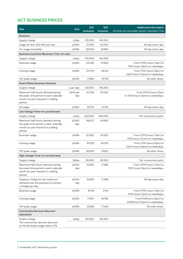# **ACT BUSINESS PRICES**

| Plan                                                                                                                          | Unit               | <b>GST</b><br>exclusive | <b>GST</b><br>inclusive | <b>Additional information</b><br>All times are Australian Eastern Standard Time |
|-------------------------------------------------------------------------------------------------------------------------------|--------------------|-------------------------|-------------------------|---------------------------------------------------------------------------------|
| <b>Business</b>                                                                                                               |                    |                         |                         |                                                                                 |
| Supply charge                                                                                                                 | $\frac{c}{\alpha}$ | 132.000                 | 145.200                 |                                                                                 |
| Usage for first 330 kWh per day                                                                                               | ¢/kWh              | 27.500                  | 30.250                  | All day every day.                                                              |
| For usage thereafter                                                                                                          | ¢/kWh              | 29.000                  | 31.900                  | All day every day.                                                              |
| <b>Business Incentive (Business Time-of-use)</b>                                                                              |                    |                         |                         |                                                                                 |
| Supply charge                                                                                                                 | ¢/day              | 132.000                 | 145.200                 |                                                                                 |
| <b>Business usage</b>                                                                                                         | ¢/kWh              | 34.240                  | 37.664                  | From 0700 hours (7am) to<br>1700 hours (5pm) on weekdays.                       |
| Evening usage                                                                                                                 | ¢/kWh              | 23.750                  | 26.125                  | From 1700 hours (5pm) to<br>2200 hours (10pm) on weekdays.                      |
| Off-peak usage                                                                                                                | ¢/kWh              | 17.980                  | 19.778                  | All other times.                                                                |
| <b>Smart Meter Business Demand</b>                                                                                            |                    |                         |                         |                                                                                 |
| Supply charge                                                                                                                 | ¢ per day          | 132.000                 | 145.200                 |                                                                                 |
| Maximum half hourly demand during<br>the peak time period in each calendar<br>month (or part thereof) in a billing<br>period. | ¢/kW per<br>day    | 45.765                  | 50.342                  | From 0700 hours (7am)<br>to 1700 hours (5pm) on weekdays.                       |
| All usage                                                                                                                     | c/kWh              | 19.750                  | 21.725                  | All day every day.                                                              |
| Low Voltage Time-of-use Demand                                                                                                |                    |                         |                         |                                                                                 |
| Supply charge                                                                                                                 | ¢/day              | 420.000                 | 462.000                 | Per connection point.                                                           |
| Maximum half hourly demand during<br>the peak time period in each calendar<br>month (or part thereof) in a billing<br>period. | ¢/kVA/<br>day      | 46.057                  | 50.663                  |                                                                                 |
| <b>Business usage</b>                                                                                                         | ¢/kWh              | 22.000                  | 24.200                  | From 0700 hours (7am) to<br>1700 hours (5 pm) on weekdays.                      |
| Evening usage                                                                                                                 | ¢/kWh              | 18.250                  | 20.075                  | From 1700 hours (5pm) to<br>2200 hours (10pm) on weekdays.                      |
| Off-peak usage                                                                                                                | ¢/kWh              | 16.000                  | 17.600                  | All other times.                                                                |
| High Voltage Time-of-use Demand                                                                                               |                    |                         |                         |                                                                                 |
| Supply charge                                                                                                                 | $$$ /day           | 35.000                  | 38.500                  | Per connection point.                                                           |
| Maximum half hourly demand during<br>the peak time period in each calendar<br>month (or part thereof) in a billing<br>period. | ¢/kVA/<br>day      | 15.805                  | 17.386                  | From 0700 hours (7am) to<br>1700 hours (5pm) on weekdays.                       |
| Capacity charge for the maximum<br>demand over the previous 12 months,<br>a charge per day.                                   | ¢/kVA/<br>day      | 15.805                  | 17.386                  | All day every day.                                                              |
| <b>Business usage</b>                                                                                                         | ¢/kWh              | 19.219                  | 21.141                  | From 0700 hours (7am) to<br>1700 hours (5pm) on weekdays.                       |
| Evening usage                                                                                                                 | c/kWh              | 17.087                  | 18.796                  | From1700hours (5pm) to<br>2200hours (10pm) on weekdays.                         |
| Off-peak usage                                                                                                                | ¢/kWh              | 15.856                  | 17.442                  | All other times.                                                                |
| <b>Community Services Discount</b><br>(obsolete)                                                                              |                    |                         |                         |                                                                                 |
| Supply charge<br>The community services discount<br>on the Business usage rates is 3%                                         | ¢/day              | 132.000                 | 145.200                 |                                                                                 |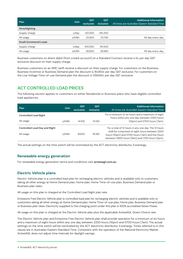| Plan                         | <b>Unit</b> | <b>GST</b><br>exclusive | <b>GST</b><br>inclusive | Additional information<br>All times are Australian Eastern Standard Time |  |
|------------------------------|-------------|-------------------------|-------------------------|--------------------------------------------------------------------------|--|
| Streetlighting               |             |                         |                         |                                                                          |  |
| Supply charge                | ¢/day       | 132.000                 | 145.200                 |                                                                          |  |
| All usage                    | c/kWh       | 23.400                  | 25.740                  | All day every day.                                                       |  |
| <b>Small Unmetered Loads</b> |             |                         |                         |                                                                          |  |
| Supply charge                | ¢/day       | 105.000                 | 115,500                 |                                                                          |  |
| All usage                    | c/kWh       | 26,800                  | 29.480                  | All day every day.                                                       |  |

Business customers on direct debit (from a bank account) on a Standard Contract receive a 5c per day GST exclusive discount on their supply charge.

Business customers on an XMC tariff receive a discount on their supply charge. For customers on the Business, Business Incentive or Business Demand plan the discount is 16.060c per day GST exclusive. For customers on the Low Voltage Time-of-use Demand plan the discount is 129.640c per day GST exclusive.

# **ACT CONTROLLED LOAD PRICES**

The following section applies to customers on either Residential or Business plans who have eligible controlled load appliances.

| Plan                                 | Unit  | <b>GST</b><br>exclusive | <b>GST</b><br>inclusive | <b>Additional information</b><br>All times are Australian Eastern Standard Time                                                                      |
|--------------------------------------|-------|-------------------------|-------------------------|------------------------------------------------------------------------------------------------------------------------------------------------------|
| <b>Controlled Load Night</b>         |       |                         |                         | For a minimum of six hours and a maximum of eight<br>hours within any one day, between 2200 hours                                                    |
| All usage                            | c/kWh | 14.100                  | 15.510                  | (10pm) and 0700 hours (7am).                                                                                                                         |
| <b>Controlled Load Day and Night</b> |       |                         |                         | For a total of 13 hours in any one day. The 13 hours                                                                                                 |
| All usage                            | c/kWh | 16.620                  | 18.282                  | shall be comprised of eight hours between 2200<br>hours (10pm) and 0700 hours (7am) and five hours<br>between 0900 hours (9am) and 1700 hours (5pm). |

The actual settings on the time switch will be nominated by the ACT electricity distributor, Evoenergy.

#### **Renewable energy generation**

For renewable energy generation terms and conditions visit **actewagl.com.au**

#### **Electric Vehicle plans**

Electric Vehicle plan is a controlled load plan for recharging electric vehicles and is available only to customers taking all other energy at Home Demand plan, Home plan, Home Time-of-use plan, Business Demand plan or Business plan rates.

All usage on this plan is charged at the Controlled Load Night plan rate.

Emissions Free Electric Vehicle plan is controlled load plan for recharging electric vehicles and is available only to customers taking all other energy at Home Demand plan, Home Time-of-use plan, Home plan, Business Demand plan or Business plan rates. Electricity supplied to the charging point under this plan is 100% accredited Green Power.

All usage on this plan is charged at the Electric Vehicle plan plus the applicable ActewAGL Green Choice rate.

The Electric Vehicle plan and Emissions Free Electric Vehicle plan shall provide operation for a minimum of six hours and a maximum of eight hours within any one day, between 2200 hours (10pm) and 0700 hours (7am). The actual settings on the time switch will be nominated by the ACT electricity distributor, Evoenergy. Times referred to in this clause are in Australian Eastern Standard Time. Consistent with the operation of the National Electricity Market, ActewAGL does not adjust time intervals for daylight savings.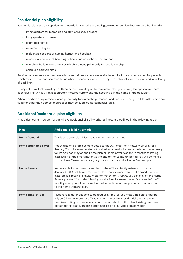#### **Residential plan eligibility**

Residential plans are only applicable to installations at private dwellings, excluding serviced apartments, but including:

- living quarters for members and staff of religious orders
- living quarters on farms
- charitable homes
- retirement villages
- residential sections of nursing homes and hospitals
- residential sections of boarding schools and educational institutions
- churches, buildings or premises which are used principally for public worship
- approved caravan sites.

Serviced apartments are premises which from time-to-time are available for hire for accommodation for periods which may be less than one month and where service available to the apartments includes provision and laundering of bed linen.

In respect of multiple dwellings of three or more dwelling units, residential charges will only be applicable where each dwelling unit is given a separately metered supply and the account is in the name of the occupant.

When a portion of a premise is used principally for domestic purposes, loads not exceeding five kilowatts, which are used for other than domestic purposes may be supplied at residential rates.

#### **Additional Residential plan eligibility**

In addition, certain residential plans have additional eligibility criteria. These are outlined in the following table**:**

| <b>Plan</b>                | Additional eligibility criteria                                                                                                                                                                                                                                                                                                                                                                                                                                                   |
|----------------------------|-----------------------------------------------------------------------------------------------------------------------------------------------------------------------------------------------------------------------------------------------------------------------------------------------------------------------------------------------------------------------------------------------------------------------------------------------------------------------------------|
| <b>Home Demand</b>         | This is an opt-in plan. Must have a smart meter installed.                                                                                                                                                                                                                                                                                                                                                                                                                        |
| <b>Home and Home Saver</b> | Not available to premises connected to the ACT electricity network on or after 1<br>January 2018. If a smart meter is installed as a result of a faulty meter or meter family<br>failure, you can stay on the Home plan or Home Saver plan for 12 months following<br>installation of the smart meter. At the end of the 12-month period you will be moved<br>to the Home Time-of-use plan, or you can opt out to the Home Demand plan.                                           |
| Home Saver+                | Not available to premises connected to the ACT electricity network on or after 1<br>January 2018. Must have a reverse cycle air conditioner installed. If a smart meter is<br>installed as a result of a faulty meter or meter family failure, you can stay on the Home<br>Saver + plan for 12 months following installation of a smart meter. At the end of the 12<br>month period you will be moved to the Home Time-of-use plan or you can opt-out<br>to the Home Demand plan. |
| Home Time-of-use           | Must have a meter capable to be read as a time-of-use meter. This can either be<br>a Type 5 interval meter or a Type 4 smart meter. New residential premises and<br>premises opting in to receive a smart meter default to this plan. Existing premises<br>default to this plan 12 months after installation of a Type 4 smart meter.                                                                                                                                             |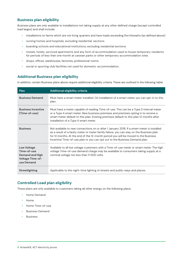#### **Business plan eligibility**

Business plans are only available to installations not taking supply at any other defined charge (except controlled load larges) and shall include**:**

- installations on farms which are not living quarters and have loads exceeding five kilowatts (as defined above)
- nursing homes and hospitals, excluding residential sections
- boarding schools and educational institutions, excluding residential sections
- motels, hotels, serviced apartments and any form of accommodation used to house temporary residents for periods of less than one month at caravan parks or other temporary accommodation sites
- shops, offices, warehouses, factories, professional rooms
- social or sporting club facilities not used for domestic accommodation.

#### **Additional Business plan eligibility**

In addition, certain Business plans above require additional eligibility criteria. These are outlined in the following table:

| Plan                                                                                                 | Additional eligibility criteria                                                                                                                                                                                                                                                                                                                            |
|------------------------------------------------------------------------------------------------------|------------------------------------------------------------------------------------------------------------------------------------------------------------------------------------------------------------------------------------------------------------------------------------------------------------------------------------------------------------|
| <b>Business Demand</b>                                                                               | Must have a smart meter installed. On installation of a smart meter you can opt-in to this<br>plan.                                                                                                                                                                                                                                                        |
| <b>Business Incentive</b><br>(Time-of-use)                                                           | Must have a meter capable of reading Time-of-use. This can be a Type 5 interval meter<br>or a Type 4 smart meter. New business premises and premises opting in to receive a<br>smart meter default to this plan. Existing premises default to this plan 12 months after<br>installation of a Type 4 smart meter.                                           |
| <b>Business</b>                                                                                      | Not available to new connections on or after 1 January 2018. If a smart meter is installed<br>as a result of a faulty meter or meter family failure, you can stay on the Business plan<br>for 12 months. At the end of the 12-month period you will be moved to the Business<br>Incentive Time-of-use plan or you can opt out to the Business Demand plan. |
| <b>Low Voltage</b><br>Time-of-use<br><b>Demand and High</b><br><b>Voltage Time-of-</b><br>use Demand | Available to all low voltage customers with a Time-of-use meter or smart meter. The high<br>voltage Time-of-use demand charge may be available to consumers taking supply at a<br>nominal voltage not less than 11 000 volts.                                                                                                                              |
| <b>Streetlighting</b>                                                                                | Applicable to the night-time lighting of streets and public ways and places.                                                                                                                                                                                                                                                                               |

## **Controlled Load plan eligibility**

These plans are only available to customers taking all other energy on the following plans**:**

- Home Demand
- Home
- Home Time-of-use
- Business Demand
- **Business**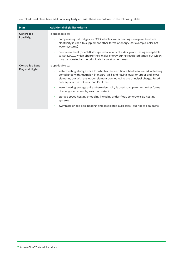Controlled Load plans have additional eligibility criteria. These are outlined in the following table**:**

| Plan                   | Additional eligibility criteria                                                                                                                                                                                                                                                                    |  |  |  |  |  |
|------------------------|----------------------------------------------------------------------------------------------------------------------------------------------------------------------------------------------------------------------------------------------------------------------------------------------------|--|--|--|--|--|
| <b>Controlled</b>      | Is applicable to:                                                                                                                                                                                                                                                                                  |  |  |  |  |  |
| <b>Load Night</b>      | compressing natural gas for CNG vehicles, water heating storage units where<br>electricity is used to supplement other forms of energy (for example, solar hot<br>water systems)                                                                                                                   |  |  |  |  |  |
|                        | permanent heat (or cold) storage installations of a design and rating acceptable<br>$\bullet$<br>to ActewAGL, which absorb their major energy during restricted times, but which<br>may be boosted at the principal charge at other times.                                                         |  |  |  |  |  |
| <b>Controlled Load</b> | Is applicable to:                                                                                                                                                                                                                                                                                  |  |  |  |  |  |
| Day and Night          | water heating storage units for which a test certificate has been issued indicating<br>compliance with Australian Standard 1056 and having lower or upper and lower<br>elements, but with any upper element connected to the principal charge. Rated<br>delivery shall be not less than 160 litres |  |  |  |  |  |
|                        | water heating storage units where electricity is used to supplement other forms<br>$\bullet$<br>of energy (for example, solar hot water)                                                                                                                                                           |  |  |  |  |  |
|                        | storage space heating or cooling including under-floor, concrete-slab heating<br>۰<br>systems                                                                                                                                                                                                      |  |  |  |  |  |
|                        | swimming or spa pool heating, and associated auxiliaries, but not to spa baths.                                                                                                                                                                                                                    |  |  |  |  |  |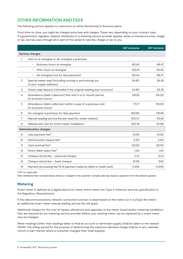# **OTHER INFORMATION AND FEES**

The following section applies to customers on either Residential or Business plans.

From time-to-time, you might be charged extra fees and charges. These vary depending on your contract type. If a government, regulator, network distributor or a metering service provider applies, varies or introduces a fee, charge or tax, we may pass through all or part of this varied or new fee, charge or tax to you.

|                           |                                                                                       | <b>GST exclusive</b> | <b>GST inclusive</b> |
|---------------------------|---------------------------------------------------------------------------------------|----------------------|----------------------|
| Service charges           |                                                                                       |                      |                      |
| 1                         | Visit to re-energise or de-energise a premises                                        |                      |                      |
|                           | Business hours re-energise                                                            | 80.43                | 88.47                |
|                           | After hours re-energise<br>$\bullet$                                                  | 100.41               | 110.45               |
|                           | de-energise (not for late payment)<br>$\bullet$                                       | 80.43                | 88.47                |
| 2                         | Special meter read (including moving in and moving out<br>of your supply address)     | 34.80                | 38.28                |
| $\ensuremath{\mathsf{3}}$ | Check read deposit (refunded if the original reading was incorrect)                   | 34.80                | 38.28                |
| $\overline{4}$            | Attendance (debt collection) first visit in a 12-month period<br>(in business hours)  | 59.09                | 65.00                |
| 5                         | Attendance (debt collection) within a year of a previous visit<br>(in business hours) | 77.27                | 85.00                |
| 6                         | De-energise a premises for late payment                                               | 160.86               | 176.95               |
| 7                         | Manual reading service fee per read (for smart meters)                                | 103.57               | 113.92               |
| 8                         | Wasted site visit for smart meter installation                                        | 100.78               | 110.86               |
|                           | <b>Administration charges</b>                                                         |                      |                      |
| 9                         | Late payment fee*                                                                     | 15.00                | 15.00                |
| 10 <sup>°</sup>           | Dishonoured cheque fee*                                                               | 5.50                 | 5.50                 |
| 11                        | Card reversal fee*                                                                    | 30.00                | 30.00                |
| 12                        | Direct debit reject fee*                                                              | 1.40                 | 1.40                 |
| 13                        | Cheque refund fee - personal cheque                                                   | 0.21                 | 0.23                 |
| 14                        | Cheque refund fee - bank cheque                                                       | 10.56                | 11.62                |
| 15                        | Payment processing fee (% of payment made by debit or credit card)                    | 0.41%                | 0.45%                |

\*GST not applicable

Note: Distributor fees not listed above will be on-charged to the customer. Complex jobs may require a quotation from the network operator.

#### **Metering**

Smart meter is defined as a digital electricity meter which meets the Type 4 minimum services specification in the Regulatory Requirements.

If the telecommunications network connection function is deactivated on the meter (i.e it is aType 4A meter) an additional smart meter manual reading service fee will apply.

Additional charges for the cost of repairs, alterations and upgrades to the meter board and/or metering installation that are required by our metering service provider before your existing meter can be replaced by a smart meter may be charged.

Meter readings (other than readings taken to final an account or terminate supply) shall be taken to the nearest 10kWh. The billing period for the purpose of determining the maximum demand charge shall be in any calendar month or part thereof where a customer changes their retail supplier.